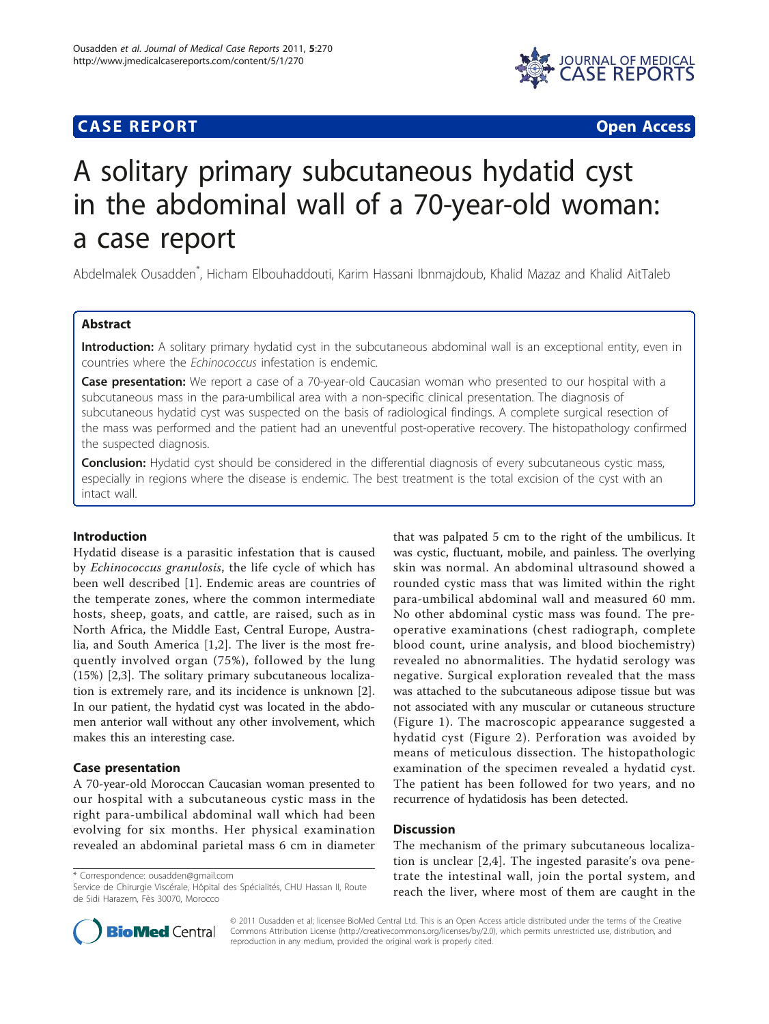# **CASE REPORT CASE ACCESS**



# A solitary primary subcutaneous hydatid cyst in the abdominal wall of a 70-year-old woman: a case report

Abdelmalek Ousadden\* , Hicham Elbouhaddouti, Karim Hassani Ibnmajdoub, Khalid Mazaz and Khalid AitTaleb

# Abstract

Introduction: A solitary primary hydatid cyst in the subcutaneous abdominal wall is an exceptional entity, even in countries where the Echinococcus infestation is endemic.

**Case presentation:** We report a case of a 70-year-old Caucasian woman who presented to our hospital with a subcutaneous mass in the para-umbilical area with a non-specific clinical presentation. The diagnosis of subcutaneous hydatid cyst was suspected on the basis of radiological findings. A complete surgical resection of the mass was performed and the patient had an uneventful post-operative recovery. The histopathology confirmed the suspected diagnosis.

Conclusion: Hydatid cyst should be considered in the differential diagnosis of every subcutaneous cystic mass, especially in regions where the disease is endemic. The best treatment is the total excision of the cyst with an intact wall.

## Introduction

Hydatid disease is a parasitic infestation that is caused by Echinococcus granulosis, the life cycle of which has been well described [[1](#page-2-0)]. Endemic areas are countries of the temperate zones, where the common intermediate hosts, sheep, goats, and cattle, are raised, such as in North Africa, the Middle East, Central Europe, Australia, and South America [\[1](#page-2-0),[2\]](#page-2-0). The liver is the most frequently involved organ (75%), followed by the lung (15%) [[2,3\]](#page-2-0). The solitary primary subcutaneous localization is extremely rare, and its incidence is unknown [\[2](#page-2-0)]. In our patient, the hydatid cyst was located in the abdomen anterior wall without any other involvement, which makes this an interesting case.

# Case presentation

A 70-year-old Moroccan Caucasian woman presented to our hospital with a subcutaneous cystic mass in the right para-umbilical abdominal wall which had been evolving for six months. Her physical examination revealed an abdominal parietal mass 6 cm in diameter

\* Correspondence: [ousadden@gmail.com](mailto:ousadden@gmail.com)

Service de Chirurgie Viscérale, Hôpital des Spécialités, CHU Hassan II, Route de Sidi Harazem, Fès 30070, Morocco

that was palpated 5 cm to the right of the umbilicus. It was cystic, fluctuant, mobile, and painless. The overlying skin was normal. An abdominal ultrasound showed a rounded cystic mass that was limited within the right para-umbilical abdominal wall and measured 60 mm. No other abdominal cystic mass was found. The preoperative examinations (chest radiograph, complete blood count, urine analysis, and blood biochemistry) revealed no abnormalities. The hydatid serology was negative. Surgical exploration revealed that the mass was attached to the subcutaneous adipose tissue but was not associated with any muscular or cutaneous structure (Figure [1](#page-1-0)). The macroscopic appearance suggested a hydatid cyst (Figure [2\)](#page-1-0). Perforation was avoided by means of meticulous dissection. The histopathologic examination of the specimen revealed a hydatid cyst. The patient has been followed for two years, and no recurrence of hydatidosis has been detected.

## **Discussion**

The mechanism of the primary subcutaneous localization is unclear [[2,4](#page-2-0)]. The ingested parasite's ova penetrate the intestinal wall, join the portal system, and reach the liver, where most of them are caught in the



© 2011 Ousadden et al; licensee BioMed Central Ltd. This is an Open Access article distributed under the terms of the Creative Commons Attribution License [\(http://creativecommons.org/licenses/by/2.0](http://creativecommons.org/licenses/by/2.0)), which permits unrestricted use, distribution, and reproduction in any medium, provided the original work is properly cited.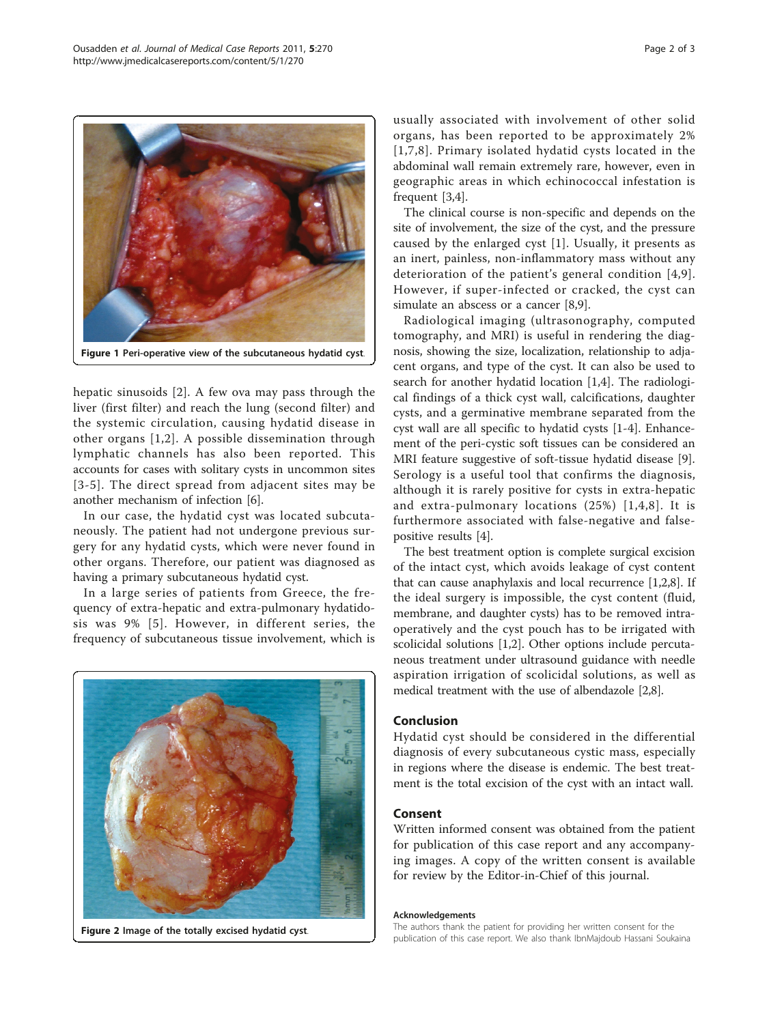<span id="page-1-0"></span>

hepatic sinusoids [[2\]](#page-2-0). A few ova may pass through the liver (first filter) and reach the lung (second filter) and the systemic circulation, causing hydatid disease in other organs [[1,2\]](#page-2-0). A possible dissemination through lymphatic channels has also been reported. This accounts for cases with solitary cysts in uncommon sites [[3-5\]](#page-2-0). The direct spread from adjacent sites may be another mechanism of infection [\[6](#page-2-0)].

In our case, the hydatid cyst was located subcutaneously. The patient had not undergone previous surgery for any hydatid cysts, which were never found in other organs. Therefore, our patient was diagnosed as having a primary subcutaneous hydatid cyst.

In a large series of patients from Greece, the frequency of extra-hepatic and extra-pulmonary hydatidosis was 9% [[5\]](#page-2-0). However, in different series, the frequency of subcutaneous tissue involvement, which is



Figure 2 Image of the totally excised hydatid cyst.

usually associated with involvement of other solid organs, has been reported to be approximately 2% [[1,7](#page-2-0),[8](#page-2-0)]. Primary isolated hydatid cysts located in the abdominal wall remain extremely rare, however, even in geographic areas in which echinococcal infestation is frequent [\[3,4](#page-2-0)].

The clinical course is non-specific and depends on the site of involvement, the size of the cyst, and the pressure caused by the enlarged cyst [\[1](#page-2-0)]. Usually, it presents as an inert, painless, non-inflammatory mass without any deterioration of the patient's general condition [[4](#page-2-0),[9\]](#page-2-0). However, if super-infected or cracked, the cyst can simulate an abscess or a cancer [\[8,9](#page-2-0)].

Radiological imaging (ultrasonography, computed tomography, and MRI) is useful in rendering the diagnosis, showing the size, localization, relationship to adjacent organs, and type of the cyst. It can also be used to search for another hydatid location [\[1,4](#page-2-0)]. The radiological findings of a thick cyst wall, calcifications, daughter cysts, and a germinative membrane separated from the cyst wall are all specific to hydatid cysts [[1-4](#page-2-0)]. Enhancement of the peri-cystic soft tissues can be considered an MRI feature suggestive of soft-tissue hydatid disease [\[9](#page-2-0)]. Serology is a useful tool that confirms the diagnosis, although it is rarely positive for cysts in extra-hepatic and extra-pulmonary locations (25%) [[1,4,8\]](#page-2-0). It is furthermore associated with false-negative and falsepositive results [\[4\]](#page-2-0).

The best treatment option is complete surgical excision of the intact cyst, which avoids leakage of cyst content that can cause anaphylaxis and local recurrence [\[1,2,8](#page-2-0)]. If the ideal surgery is impossible, the cyst content (fluid, membrane, and daughter cysts) has to be removed intraoperatively and the cyst pouch has to be irrigated with scolicidal solutions [\[1,2](#page-2-0)]. Other options include percutaneous treatment under ultrasound guidance with needle aspiration irrigation of scolicidal solutions, as well as medical treatment with the use of albendazole [[2,8](#page-2-0)].

#### Conclusion

Hydatid cyst should be considered in the differential diagnosis of every subcutaneous cystic mass, especially in regions where the disease is endemic. The best treatment is the total excision of the cyst with an intact wall.

#### Consent

Written informed consent was obtained from the patient for publication of this case report and any accompanying images. A copy of the written consent is available for review by the Editor-in-Chief of this journal.

#### Acknowledgements

The authors thank the patient for providing her written consent for the publication of this case report. We also thank IbnMajdoub Hassani Soukaina